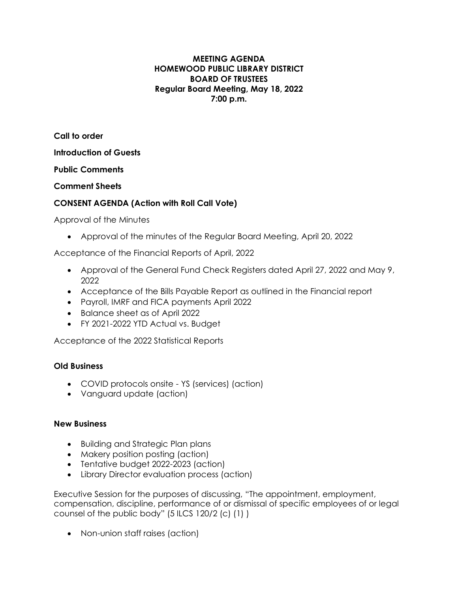#### **MEETING AGENDA HOMEWOOD PUBLIC LIBRARY DISTRICT BOARD OF TRUSTEES Regular Board Meeting, May 18, 2022 7:00 p.m.**

**Call to order**

**Introduction of Guests**

**Public Comments**

**Comment Sheets**

# **CONSENT AGENDA (Action with Roll Call Vote)**

Approval of the Minutes

• Approval of the minutes of the Regular Board Meeting, April 20, 2022

Acceptance of the Financial Reports of April, 2022

- Approval of the General Fund Check Registers dated April 27, 2022 and May 9, 2022
- Acceptance of the Bills Payable Report as outlined in the Financial report
- Payroll, IMRF and FICA payments April 2022
- Balance sheet as of April 2022
- FY 2021-2022 YTD Actual vs. Budget

Acceptance of the 2022 Statistical Reports

## **Old Business**

- COVID protocols onsite YS (services) (action)
- Vanguard update (action)

## **New Business**

- Building and Strategic Plan plans
- Makery position posting (action)
- Tentative budget 2022-2023 (action)
- Library Director evaluation process (action)

Executive Session for the purposes of discussing, "The appointment, employment, compensation, discipline, performance of or dismissal of specific employees of or legal counsel of the public body" (5 ILCS 120/2 (c) (1) )

• Non-union staff raises (action)